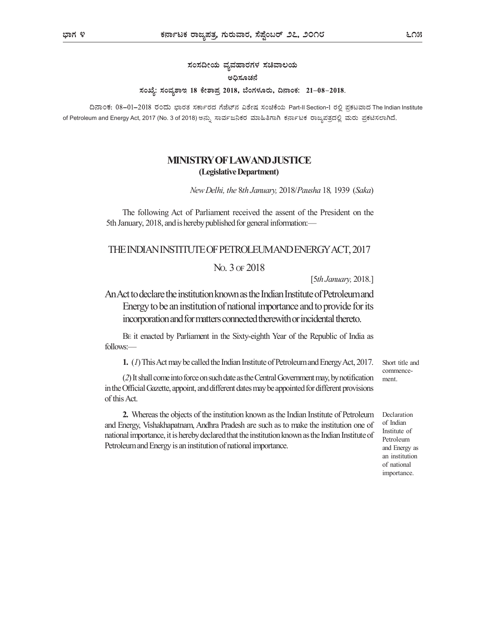ಸಂಸದೀಯ ವ್ಯವಹಾರಗಳ ಸಚಿವಾಲಯ ಅಧಿಸೂಚನೆ ಸಂಖ್ಯೆ: ಸಂವ್ನಶಾಇ 18 ಕೇಶಾಪ್ರ 2018, ಬೆಂಗಳೂರು, ದಿನಾಂಕ: 21–08–2018.

ದಿನಾಂಕ: 08–01–2018 ರಂದು ಭಾರತ ಸರ್ಕಾರದ ಗೆಜೆಟ್ನ ವಿಶೇಷ ಸಂಚಿಕೆಯ Part-II Section-1 ರಲ್ಲಿ ಪ್ರಕಟವಾದ The Indian Institute of Petroleum and Energy Act, 2017 (No. 3 of 2018)

## MINISTRY OF LAWAND JUSTICE (Legislative Department)

New Delhi, the 8th January, 2018/Pausha 18, 1939 (Saka)

The following Act of Parliament received the assent of the President on the 5th January, 2018, and is hereby published for general information:—

## THE INDIAN INSTITUTE OF PETROLEUM AND ENERGY ACT, 2017

## NO. 3 OF 2018

[5th January, 2018.]

An Act to declare the institution known as the Indian Institute of Petroleum and Energy to be an institution of national importance and to provide for its incorporation and for matters connected therewith or incidental thereto.

BE it enacted by Parliament in the Sixty-eighth Year of the Republic of India as follows:—

1. (1) This Act may be called the Indian Institute of Petroleum and Energy Act, 2017.

(2) It shall come into force on such date as the Central Government may, by notification in the Official Gazette, appoint, and different dates may be appointed for different provisions of this Act.

2. Whereas the objects of the institution known as the Indian Institute of Petroleum and Energy, Vishakhapatnam, Andhra Pradesh are such as to make the institution one of national importance, it is hereby declared that the institution known as the Indian Institute of Petroleum and Energy is an institution of national importance.

Short title and commence ment.

Declaration of Indian Institute of Petroleum and Energy as an institution of national importance.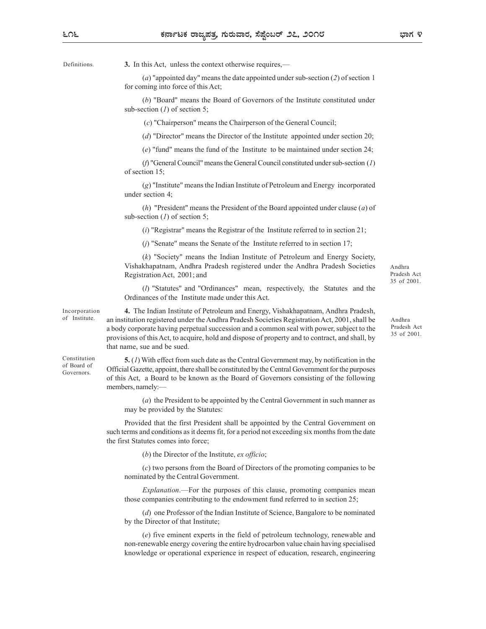Definitions. **3.** In this Act, unless the context otherwise requires,—

(a) "appointed day" means the date appointed under sub-section (2) of section 1 for coming into force of this Act;

(b) "Board" means the Board of Governors of the Institute constituted under sub-section  $(1)$  of section 5;

(c) "Chairperson" means the Chairperson of the General Council;

(d) "Director" means the Director of the Institute appointed under section 20;

(e) "fund" means the fund of the Institute to be maintained under section 24;

(f) "General Council" means the General Council constituted under sub-section (1) of section 15;

(g) "Institute" means the Indian Institute of Petroleum and Energy incorporated under section 4;

(h) "President" means the President of the Board appointed under clause (a) of sub-section  $(1)$  of section 5;

( $i$ ) "Registrar" means the Registrar of the Institute referred to in section 21;

 $(i)$  "Senate" means the Senate of the Institute referred to in section 17;

(k) "Society" means the Indian Institute of Petroleum and Energy Society, Vishakhapatnam, Andhra Pradesh registered under the Andhra Pradesh Societies Registration Act, 2001; and

Andhra Pradesh Act 35 of 2001.

Pradesh Act 35 of 2001.

Andhra

(l) "Statutes" and "Ordinances" mean, respectively, the Statutes and the Ordinances of the Institute made under this Act.

4. The Indian Institute of Petroleum and Energy, Vishakhapatnam, Andhra Pradesh, Incorporation an institution registered under the Andhra Pradesh Societies Registration Act, 2001, shall be of Institute. a body corporate having perpetual succession and a common seal with power, subject to the provisions of this Act, to acquire, hold and dispose of property and to contract, and shall, by that name, sue and be sued.

 $\mathcal{F}$  Constitution  $\mathcal{F}$  = 5. (*1*) With effect from such date as the Central Government may, by notification in the Official Gazette, appoint, there shall be constituted by the Central Government for the purposes of Board of of this Act, a Board to be known as the Board of Governors consisting of the following members, namely:— Governors. **CHICTAL GAZCIIC**,

> (a) the President to be appointed by the Central Government in such manner as may be provided by the Statutes:

Provided that the first President shall be appointed by the Central Government on such terms and conditions as it deems fit, for a period not exceeding six months from the date the first Statutes comes into force;

 $(b)$  the Director of the Institute, ex officio;

(c) two persons from the Board of Directors of the promoting companies to be nominated by the Central Government.

Explanation.—For the purposes of this clause, promoting companies mean those companies contributing to the endowment fund referred to in section 25;

(d) one Professor of the Indian Institute of Science, Bangalore to be nominated by the Director of that Institute;

(e) five eminent experts in the field of petroleum technology, renewable and non-renewable energy covering the entire hydrocarbon value chain having specialised knowledge or operational experience in respect of education, research, engineering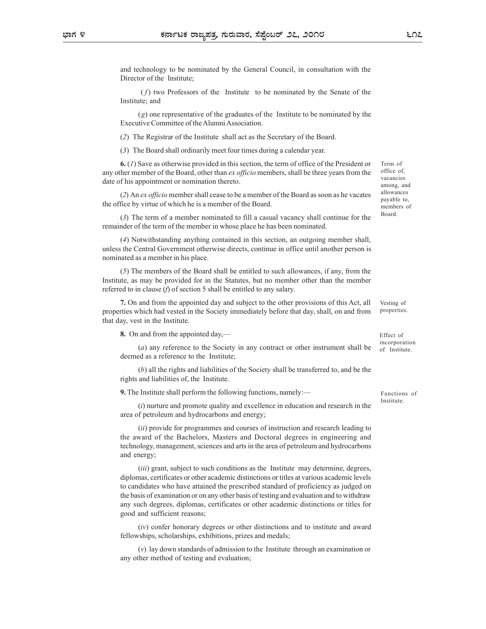and technology to be nominated by the General Council, in consultation with the Director of the Institute;

 $(f)$  two Professors of the Institute to be nominated by the Senate of the Institute; and

(g) one representative of the graduates of the Institute to be nominated by the Executive Committee of the Alumni Association.

**EXECT THE REGIST SET SET SET ASSES AND SET ASSES ASSES AND SET ASSESS AND SET ASSESS AND SOLUTE DURING DETECT OF the Institute;**<br>
(*f*) two Professors of the Institute to be nominated by the Senate of the Institute; and<br> **Exercise 6** The Board shall ordinarily meet for the Board shall ordinary and the Board shall ordinated by the General Council, in consultation with the Director of the Institute;<br>
(*f*) two Professors of the Institute to 6. (1) Save as otherwise provided in this section, the term of office of the President or any other member of the Board, other than *ex officio* members, shall be three years from the date of his appointment or nomination thereto.

(2) An ex officio member shall cease to be a member of the Board as soon as he vacates the office by virtue of which he is a member of the Board.

(3) The term of a member nominated to fill a casual vacancy shall continue for the remainder of the term of the member in whose place he has been nominated.

(4) Notwithstanding anything contained in this section, an outgoing member shall, unless the Central Government otherwise directs, continue in office until another person is nominated as a member in his place.

(5) The members of the Board shall be entitled to such allowances, if any, from the Institute, as may be provided for in the Statutes, but no member other than the member referred to in clause (f) of section 5 shall be entitled to any salary.

7. On and from the appointed day and subject to the other provisions of this Act, all properties which had vested in the Society immediately before that day, shall, on and from that day, vest in the Institute.

8. On and from the appointed day,—

(a) any reference to the Society in any contract or other instrument shall be deemed as a reference to the Institute;

(b) all the rights and liabilities of the Society shall be transferred to, and be the rights and liabilities of, the Institute.

9. The Institute shall perform the following functions, namely:—

(i) nurture and promote quality and excellence in education and research in the area of petroleum and hydrocarbons and energy;

(ii) provide for programmes and courses of instruction and research leading to the award of the Bachelors, Masters and Doctoral degrees in engineering and technology, management, sciences and arts in the area of petroleum and hydrocarbons and energy;

(*iii*) grant, subject to such conditions as the Institute may determine, degrees, diplomas, certificates or other academic distinctions or titles at various academic levels to candidates who have attained the prescribed standard of proficiency as judged on the basis of examination or on any other basis of testing and evaluation and to withdraw any such degrees, diplomas, certificates or other academic distinctions or titles for good and sufficient reasons;

(iv) confer honorary degrees or other distinctions and to institute and award fellowships, scholarships, exhibitions, prizes and medals;

(v) lay down standards of admission to the Institute through an examination or any other method of testing and evaluation;

Term of office of, vacancies among, and allowances payable to, members of Board.

Vesting of properties.

Effect of incorporation of Institute.

Functions of Institute.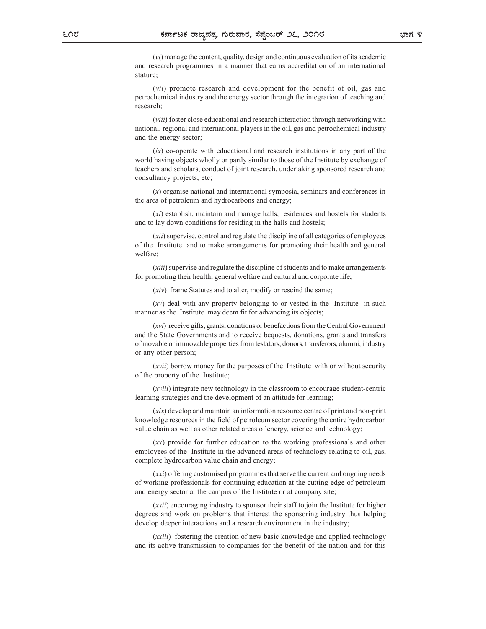(vi) manage the content, quality, design and continuous evaluation of its academic and research programmes in a manner that earns accreditation of an international stature;

(vii) promote research and development for the benefit of oil, gas and petrochemical industry and the energy sector through the integration of teaching and research;

(viii) foster close educational and research interaction through networking with national, regional and international players in the oil, gas and petrochemical industry and the energy sector;

 $(ix)$  co-operate with educational and research institutions in any part of the world having objects wholly or partly similar to those of the Institute by exchange of teachers and scholars, conduct of joint research, undertaking sponsored research and consultancy projects, etc;

(x) organise national and international symposia, seminars and conferences in the area of petroleum and hydrocarbons and energy;

(xi) establish, maintain and manage halls, residences and hostels for students and to lay down conditions for residing in the halls and hostels;

(xii) supervise, control and regulate the discipline of all categories of employees of the Institute and to make arrangements for promoting their health and general welfare;

(xiii) supervise and regulate the discipline of students and to make arrangements for promoting their health, general welfare and cultural and corporate life;

(xiv) frame Statutes and to alter, modify or rescind the same;

(xv) deal with any property belonging to or vested in the Institute in such manner as the Institute may deem fit for advancing its objects;

(xvi) receive gifts, grants, donations or benefactions from the Central Government and the State Governments and to receive bequests, donations, grants and transfers of movable or immovable properties from testators, donors, transferors, alumni, industry or any other person;

(xvii) borrow money for the purposes of the Institute with or without security of the property of the Institute;

(xviii) integrate new technology in the classroom to encourage student-centric learning strategies and the development of an attitude for learning;

(xix) develop and maintain an information resource centre of print and non-print knowledge resources in the field of petroleum sector covering the entire hydrocarbon value chain as well as other related areas of energy, science and technology;

(xx) provide for further education to the working professionals and other employees of the Institute in the advanced areas of technology relating to oil, gas, complete hydrocarbon value chain and energy;

(xxi) offering customised programmes that serve the current and ongoing needs of working professionals for continuing education at the cutting-edge of petroleum and energy sector at the campus of the Institute or at company site;

(xxii) encouraging industry to sponsor their staff to join the Institute for higher degrees and work on problems that interest the sponsoring industry thus helping develop deeper interactions and a research environment in the industry;

(xxiii) fostering the creation of new basic knowledge and applied technology and its active transmission to companies for the benefit of the nation and for this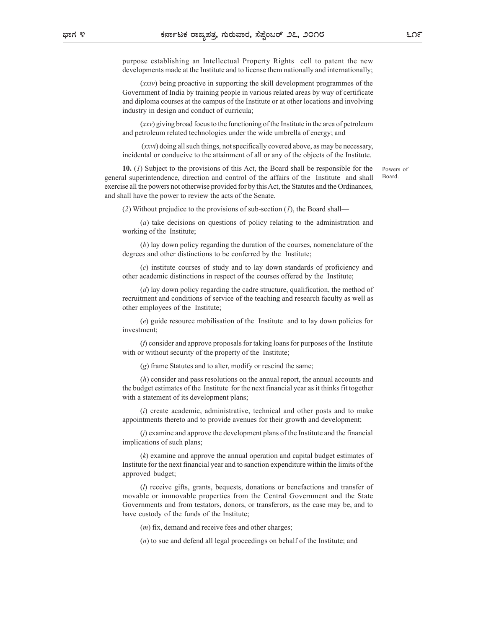purpose establishing an Intellectual Property Rights cell to patent the new developments made at the Institute and to license them nationally and internationally;

(xxiv) being proactive in supporting the skill development programmes of the Government of India by training people in various related areas by way of certificate and diploma courses at the campus of the Institute or at other locations and involving industry in design and conduct of curricula;

(xxv) giving broad focus to the functioning of the Institute in the area of petroleum and petroleum related technologies under the wide umbrella of energy; and

 (xxvi) doing all such things, not specifically covered above, as may be necessary, incidental or conducive to the attainment of all or any of the objects of the Institute.

10. (1) Subject to the provisions of this Act, the Board shall be responsible for the general superintendence, direction and control of the affairs of the Institute and shall exercise all the powers not otherwise provided for by this Act, the Statutes and the Ordinances, and shall have the power to review the acts of the Senate.

(2) Without prejudice to the provisions of sub-section  $(I)$ , the Board shall—

(a) take decisions on questions of policy relating to the administration and working of the Institute;

(b) lay down policy regarding the duration of the courses, nomenclature of the degrees and other distinctions to be conferred by the Institute;

(c) institute courses of study and to lay down standards of proficiency and other academic distinctions in respect of the courses offered by the Institute;

 $(d)$  lay down policy regarding the cadre structure, qualification, the method of recruitment and conditions of service of the teaching and research faculty as well as other employees of the Institute;

(e) guide resource mobilisation of the Institute and to lay down policies for investment;

(f) consider and approve proposals for taking loans for purposes of the Institute with or without security of the property of the Institute;

(g) frame Statutes and to alter, modify or rescind the same;

(h) consider and pass resolutions on the annual report, the annual accounts and the budget estimates of the Institute for the next financial year as it thinks fit together with a statement of its development plans;

 $(i)$  create academic, administrative, technical and other posts and to make appointments thereto and to provide avenues for their growth and development;

(j) examine and approve the development plans of the Institute and the financial implications of such plans;

(k) examine and approve the annual operation and capital budget estimates of Institute for the next financial year and to sanction expenditure within the limits of the approved budget;

(l) receive gifts, grants, bequests, donations or benefactions and transfer of movable or immovable properties from the Central Government and the State Governments and from testators, donors, or transferors, as the case may be, and to have custody of the funds of the Institute;

(*m*) fix, demand and receive fees and other charges;

(n) to sue and defend all legal proceedings on behalf of the Institute; and

Powers of Board.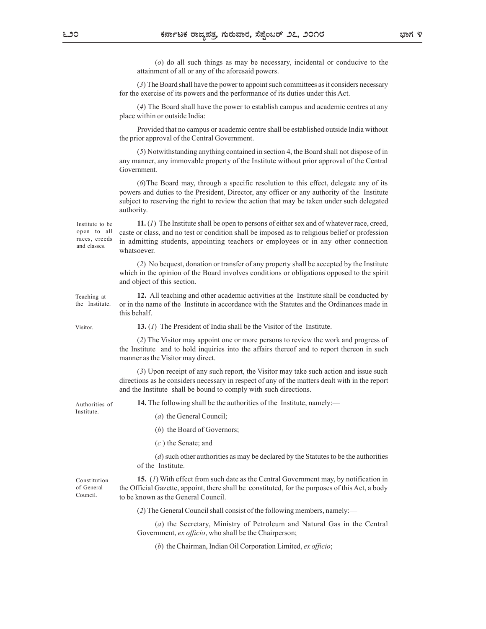(o) do all such things as may be necessary, incidental or conducive to the attainment of all or any of the aforesaid powers.

(3) The Board shall have the power to appoint such committees as it considers necessary for the exercise of its powers and the performance of its duties under this Act.

(4) The Board shall have the power to establish campus and academic centres at any place within or outside India:

Provided that no campus or academic centre shall be established outside India without the prior approval of the Central Government.

(5) Notwithstanding anything contained in section 4, the Board shall not dispose of in any manner, any immovable property of the Institute without prior approval of the Central Government.

(6)The Board may, through a specific resolution to this effect, delegate any of its powers and duties to the President, Director, any officer or any authority of the Institute subject to reserving the right to review the action that may be taken under such delegated authority.

and classes.

Institute to be  $11. (1)$  The Institute shall be open to persons of either sex and of whatever race, creed, open to all caste or class, and no test or condition shall be imposed as to religious belief or profession races, creeds in admitting students, appointing teachers or employees or in any other connection whatsoever.

(2) No bequest, donation or transfer of any property shall be accepted by the Institute which in the opinion of the Board involves conditions or obligations opposed to the spirit and object of this section.

12. All teaching and other academic activities at the Institute shall be conducted by the Institute. or in the name of the Institute in accordance with the Statutes and the Ordinances made in this behalf. Teaching at

Visitor. **13.** (*I*) The President of India shall be the Visitor of the Institute.

(2) The Visitor may appoint one or more persons to review the work and progress of the Institute and to hold inquiries into the affairs thereof and to report thereon in such manner as the Visitor may direct.

(3) Upon receipt of any such report, the Visitor may take such action and issue such directions as he considers necessary in respect of any of the matters dealt with in the report and the Institute shall be bound to comply with such directions.

Institute.

Council.

Authorities of **14.** The following shall be the authorities of the Institute, namely:—

- (a) the General Council;
- (b) the Board of Governors;
- (c ) the Senate; and

(d) such other authorities as may be declared by the Statutes to be the authorities of the Institute.

15. (1) With effect from such date as the Central Government may, by notification in Constitution the Official Gazette, appoint, there shall be constituted, for the purposes of this Act, a body of General to be known as the General Council.

(2) The General Council shall consist of the following members, namely:—

(a) the Secretary, Ministry of Petroleum and Natural Gas in the Central Government, ex officio, who shall be the Chairperson;

(b) the Chairman, Indian Oil Corporation Limited, ex officio;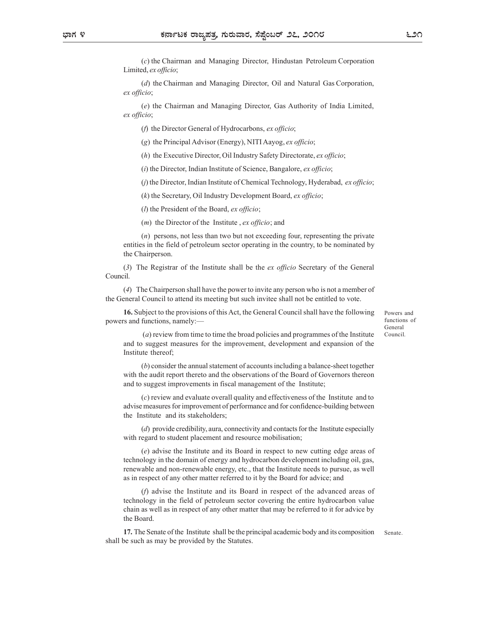(c) the Chairman and Managing Director, Hindustan Petroleum Corporation Limited, ex officio;

(d) the Chairman and Managing Director, Oil and Natural Gas Corporation, ex officio;

(e) the Chairman and Managing Director, Gas Authority of India Limited, ex officio;

(f) the Director General of Hydrocarbons, ex officio;

(g) the Principal Advisor (Energy), NITI Aayog, ex officio;

(h) the Executive Director, Oil Industry Safety Directorate, ex officio;

 $(i)$  the Director, Indian Institute of Science, Bangalore, ex officio;

(j) the Director, Indian Institute of Chemical Technology, Hyderabad, ex officio;

(k) the Secretary, Oil Industry Development Board, ex officio;

 $(l)$  the President of the Board, ex officio;

 $(m)$  the Director of the Institute, ex officio; and

(n) persons, not less than two but not exceeding four, representing the private entities in the field of petroleum sector operating in the country, to be nominated by the Chairperson. Come Community and Managing Director, rimaustan Perrocleum Corporation<br>
(d) the Chairman and Managing Director, Gil and Natural Gas Corporation,<br>
ex officio;<br>
(d) the Chairman and Managing Director, Gas Authority of India (a) the Chairperson shall have the power to invite any person who is not a member of the Chairmerson shall have the power to invite any firstice,<br>
(c) the Pincipal Advisor (Energy), NITI Aayog, ex officio;<br>
(f) the Eincet

Council.

the General Council to attend its meeting but such invitee shall not be entitled to vote.

16. Subject to the provisions of this Act, the General Council shall have the following powers and functions, namely:—

Powers and functions of General Council.

 (a) review from time to time the broad policies and programmes of the Institute and to suggest measures for the improvement, development and expansion of the Institute thereof;

(b) consider the annual statement of accounts including a balance-sheet together with the audit report thereto and the observations of the Board of Governors thereon and to suggest improvements in fiscal management of the Institute;

(c) review and evaluate overall quality and effectiveness of the Institute and to advise measures for improvement of performance and for confidence-building between the Institute and its stakeholders;

(d) provide credibility, aura, connectivity and contacts for the Institute especially with regard to student placement and resource mobilisation;

(e) advise the Institute and its Board in respect to new cutting edge areas of technology in the domain of energy and hydrocarbon development including oil, gas, renewable and non-renewable energy, etc., that the Institute needs to pursue, as well as in respect of any other matter referred to it by the Board for advice; and

(f) advise the Institute and its Board in respect of the advanced areas of technology in the field of petroleum sector covering the entire hydrocarbon value chain as well as in respect of any other matter that may be referred to it for advice by the Board.

17. The Senate of the Institute shall be the principal academic body and its composition shall be such as may be provided by the Statutes. Senate.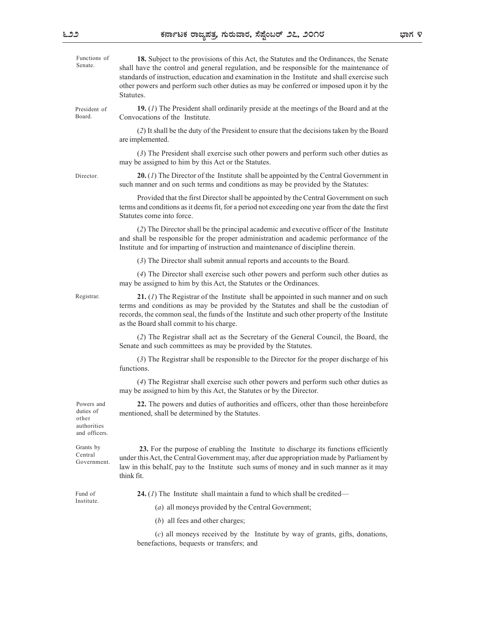| Functions of<br>Senate.                                          | 18. Subject to the provisions of this Act, the Statutes and the Ordinances, the Senate<br>shall have the control and general regulation, and be responsible for the maintenance of<br>standards of instruction, education and examination in the Institute and shall exercise such<br>other powers and perform such other duties as may be conferred or imposed upon it by the<br>Statutes. |  |
|------------------------------------------------------------------|---------------------------------------------------------------------------------------------------------------------------------------------------------------------------------------------------------------------------------------------------------------------------------------------------------------------------------------------------------------------------------------------|--|
| President of<br>Board.                                           | 19. $(I)$ The President shall ordinarily preside at the meetings of the Board and at the<br>Convocations of the Institute.                                                                                                                                                                                                                                                                  |  |
|                                                                  | (2) It shall be the duty of the President to ensure that the decisions taken by the Board<br>are implemented.                                                                                                                                                                                                                                                                               |  |
|                                                                  | (3) The President shall exercise such other powers and perform such other duties as<br>may be assigned to him by this Act or the Statutes.                                                                                                                                                                                                                                                  |  |
| Director.                                                        | <b>20.</b> (1) The Director of the Institute shall be appointed by the Central Government in<br>such manner and on such terms and conditions as may be provided by the Statutes:                                                                                                                                                                                                            |  |
|                                                                  | Provided that the first Director shall be appointed by the Central Government on such<br>terms and conditions as it deems fit, for a period not exceeding one year from the date the first<br>Statutes come into force.                                                                                                                                                                     |  |
|                                                                  | (2) The Director shall be the principal academic and executive officer of the Institute<br>and shall be responsible for the proper administration and academic performance of the<br>Institute and for imparting of instruction and maintenance of discipline therein.                                                                                                                      |  |
|                                                                  | (3) The Director shall submit annual reports and accounts to the Board.                                                                                                                                                                                                                                                                                                                     |  |
|                                                                  | (4) The Director shall exercise such other powers and perform such other duties as<br>may be assigned to him by this Act, the Statutes or the Ordinances.                                                                                                                                                                                                                                   |  |
| Registrar.                                                       | 21. $(I)$ The Registrar of the Institute shall be appointed in such manner and on such<br>terms and conditions as may be provided by the Statutes and shall be the custodian of<br>records, the common seal, the funds of the Institute and such other property of the Institute<br>as the Board shall commit to his charge.                                                                |  |
|                                                                  | (2) The Registrar shall act as the Secretary of the General Council, the Board, the<br>Senate and such committees as may be provided by the Statutes.                                                                                                                                                                                                                                       |  |
|                                                                  | (3) The Registrar shall be responsible to the Director for the proper discharge of his<br>functions.                                                                                                                                                                                                                                                                                        |  |
|                                                                  | (4) The Registrar shall exercise such other powers and perform such other duties as<br>may be assigned to him by this Act, the Statutes or by the Director.                                                                                                                                                                                                                                 |  |
| Powers and<br>duties of<br>other<br>authorities<br>and officers. | 22. The powers and duties of authorities and officers, other than those hereinbefore<br>mentioned, shall be determined by the Statutes.                                                                                                                                                                                                                                                     |  |
| Grants by<br>Central<br>Government.                              | 23. For the purpose of enabling the Institute to discharge its functions efficiently<br>under this Act, the Central Government may, after due appropriation made by Parliament by<br>law in this behalf, pay to the Institute such sums of money and in such manner as it may<br>think fit.                                                                                                 |  |
| Fund of<br>Institute.                                            | 24. $(I)$ The Institute shall maintain a fund to which shall be credited—                                                                                                                                                                                                                                                                                                                   |  |
|                                                                  | (a) all moneys provided by the Central Government;                                                                                                                                                                                                                                                                                                                                          |  |

(b) all fees and other charges;

(c) all moneys received by the Institute by way of grants, gifts, donations, benefactions, bequests or transfers; and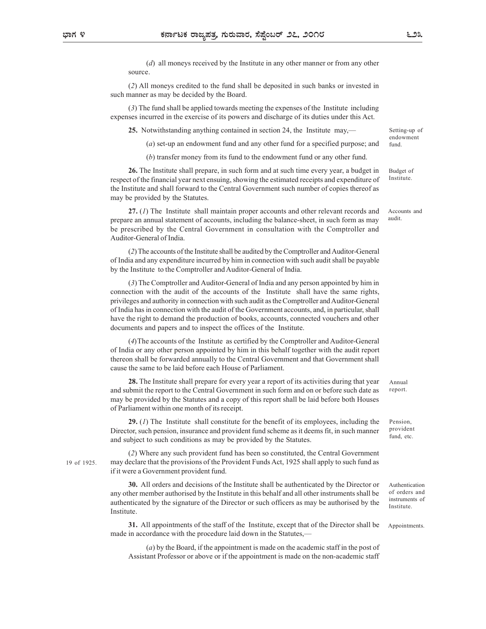(d) all moneys received by the Institute in any other manner or from any other source.

(2) All moneys credited to the fund shall be deposited in such banks or invested in such manner as may be decided by the Board.

(3) The fund shall be applied towards meeting the expenses of the Institute including expenses incurred in the exercise of its powers and discharge of its duties under this Act.

25. Notwithstanding anything contained in section 24, the Institute may,—

(a) set-up an endowment fund and any other fund for a specified purpose; and

(b) transfer money from its fund to the endowment fund or any other fund.

26. The Institute shall prepare, in such form and at such time every year, a budget in respect of the financial year next ensuing, showing the estimated receipts and expenditure of the Institute and shall forward to the Central Government such number of copies thereof as may be provided by the Statutes. Budget of

27. (1) The Institute shall maintain proper accounts and other relevant records and prepare an annual statement of accounts, including the balance-sheet, in such form as may be prescribed by the Central Government in consultation with the Comptroller and Auditor-General of India.

(2) The accounts of the Institute shall be audited by the Comptroller and Auditor-General of India and any expenditure incurred by him in connection with such audit shall be payable by the Institute to the Comptroller and Auditor-General of India.

(3) The Comptroller and Auditor-General of India and any person appointed by him in connection with the audit of the accounts of the Institute shall have the same rights, privileges and authority in connection with such audit as the Comptroller and Auditor-General of India has in connection with the audit of the Government accounts, and, in particular, shall have the right to demand the production of books, accounts, connected vouchers and other documents and papers and to inspect the offices of the Institute.

(4)The accounts of the Institute as certified by the Comptroller and Auditor-General of India or any other person appointed by him in this behalf together with the audit report thereon shall be forwarded annually to the Central Government and that Government shall cause the same to be laid before each House of Parliament.

28. The Institute shall prepare for every year a report of its activities during that year and submit the report to the Central Government in such form and on or before such date as may be provided by the Statutes and a copy of this report shall be laid before both Houses of Parliament within one month of its receipt.

29. (1) The Institute shall constitute for the benefit of its employees, including the Director, such pension, insurance and provident fund scheme as it deems fit, in such manner and subject to such conditions as may be provided by the Statutes.

(2) Where any such provident fund has been so constituted, the Central Government may declare that the provisions of the Provident Funds Act, 1925 shall apply to such fund as if it were a Government provident fund.

30. All orders and decisions of the Institute shall be authenticated by the Director or any other member authorised by the Institute in this behalf and all other instruments shall be authenticated by the signature of the Director or such officers as may be authorised by the Institute.

31. All appointments of the staff of the Institute, except that of the Director shall be made in accordance with the procedure laid down in the Statutes,—

(a) by the Board, if the appointment is made on the academic staff in the post of Assistant Professor or above or if the appointment is made on the non-academic staff

19 of 1925.

Institute.

Setting-up of endowment fund.

Accounts and audit.

Annual report.

Pension, provident fund, etc.

Authentication of orders and instruments of Institute.

Appointments.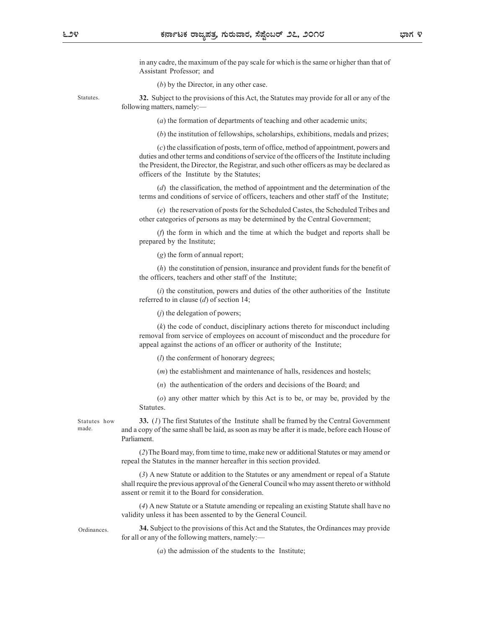in any cadre, the maximum of the pay scale for which is the same or higher than that of Assistant Professor; and

(b) by the Director, in any other case.

Statutes. 32. Subject to the provisions of this Act, the Statutes may provide for all or any of the following matters, namely:—

(a) the formation of departments of teaching and other academic units;

 $(b)$  the institution of fellowships, scholarships, exhibitions, medals and prizes;

(c) the classification of posts, term of office, method of appointment, powers and duties and other terms and conditions of service of the officers of the Institute including the President, the Director, the Registrar, and such other officers as may be declared as officers of the Institute by the Statutes;

(d) the classification, the method of appointment and the determination of the terms and conditions of service of officers, teachers and other staff of the Institute;

(e) the reservation of posts for the Scheduled Castes, the Scheduled Tribes and other categories of persons as may be determined by the Central Government;

(f) the form in which and the time at which the budget and reports shall be prepared by the Institute;

(g) the form of annual report;

(h) the constitution of pension, insurance and provident funds for the benefit of the officers, teachers and other staff of the Institute;

 $(i)$  the constitution, powers and duties of the other authorities of the Institute referred to in clause  $(d)$  of section 14;

 $(j)$  the delegation of powers;

(k) the code of conduct, disciplinary actions thereto for misconduct including removal from service of employees on account of misconduct and the procedure for appeal against the actions of an officer or authority of the Institute;

 $(l)$  the conferment of honorary degrees;

(m) the establishment and maintenance of halls, residences and hostels;

(n) the authentication of the orders and decisions of the Board; and

(o) any other matter which by this Act is to be, or may be, provided by the Statutes.

Statutes how  $\frac{33.}{I}$  (*I*) The first Statutes of the Institute shall be framed by the Central Government made. and a copy of the same shall be laid, as soon as may be after it is made, before each House of Parliament.

> (2)The Board may, from time to time, make new or additional Statutes or may amend or repeal the Statutes in the manner hereafter in this section provided.

> (3) A new Statute or addition to the Statutes or any amendment or repeal of a Statute shall require the previous approval of the General Council who may assent thereto or withhold assent or remit it to the Board for consideration.

> (4) A new Statute or a Statute amending or repealing an existing Statute shall have no validity unless it has been assented to by the General Council.

> 34. Subject to the provisions of this Act and the Statutes, the Ordinances may provide for all or any of the following matters, namely:—

> > (a) the admission of the students to the Institute;

**Ordinances**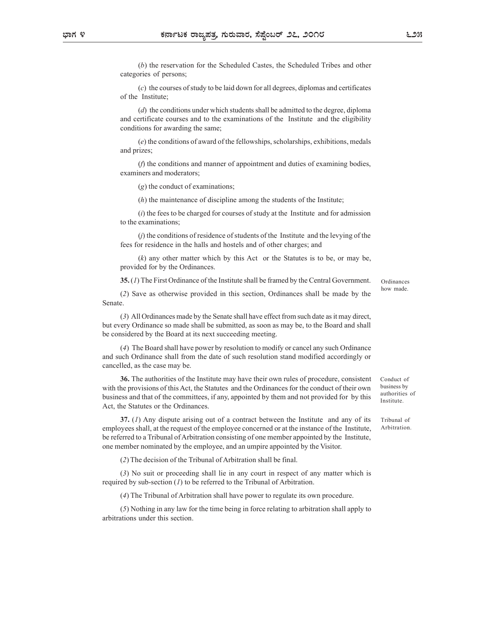(b) the reservation for the Scheduled Castes, the Scheduled Tribes and other categories of persons;

(c) the courses of study to be laid down for all degrees, diplomas and certificates of the Institute;

(d) the conditions under which students shall be admitted to the degree, diploma and certificate courses and to the examinations of the Institute and the eligibility conditions for awarding the same;

(e) the conditions of award of the fellowships, scholarships, exhibitions, medals and prizes;

(f) the conditions and manner of appointment and duties of examining bodies, examiners and moderators;

(g) the conduct of examinations;

(h) the maintenance of discipline among the students of the Institute;

 $(i)$  the fees to be charged for courses of study at the Institute and for admission to the examinations;

 $(j)$  the conditions of residence of students of the Institute and the levying of the fees for residence in the halls and hostels and of other charges; and

(k) any other matter which by this Act or the Statutes is to be, or may be, provided for by the Ordinances.

35. (1) The First Ordinance of the Institute shall be framed by the Central Government.

(2) Save as otherwise provided in this section, Ordinances shall be made by the Senate.

(3) All Ordinances made by the Senate shall have effect from such date as it may direct, but every Ordinance so made shall be submitted, as soon as may be, to the Board and shall be considered by the Board at its next succeeding meeting.

(4) The Board shall have power by resolution to modify or cancel any such Ordinance and such Ordinance shall from the date of such resolution stand modified accordingly or cancelled, as the case may be.

36. The authorities of the Institute may have their own rules of procedure, consistent with the provisions of this Act, the Statutes and the Ordinances for the conduct of their own business and that of the committees, if any, appointed by them and not provided for by this Act, the Statutes or the Ordinances.

37. (1) Any dispute arising out of a contract between the Institute and any of its employees shall, at the request of the employee concerned or at the instance of the Institute, be referred to a Tribunal of Arbitration consisting of one member appointed by the Institute, one member nominated by the employee, and an umpire appointed by the Visitor.

(2) The decision of the Tribunal of Arbitration shall be final.

(3) No suit or proceeding shall lie in any court in respect of any matter which is required by sub-section  $(I)$  to be referred to the Tribunal of Arbitration.

(4) The Tribunal of Arbitration shall have power to regulate its own procedure.

(5) Nothing in any law for the time being in force relating to arbitration shall apply to arbitrations under this section.

Conduct of business by authorities of Institute.

Tribunal of Arbitration.

Ordinances how made.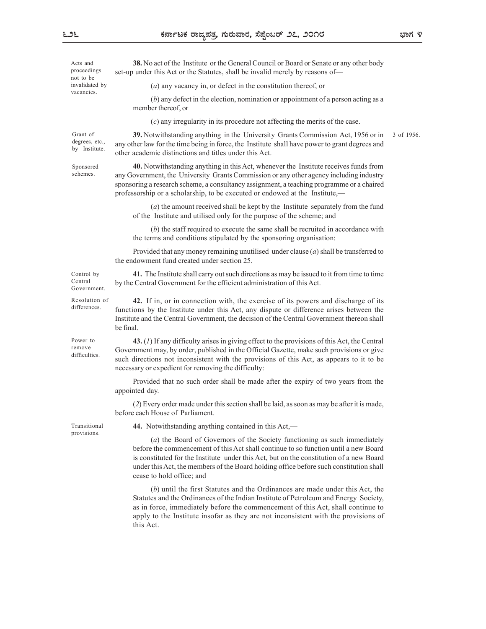3 of 1956.

not to be vacancies.

Acts and **38.** No act of the Institute or the General Council or Board or Senate or any other body set-up under this Act or the Statutes, shall be invalid merely by reasons of— proceedings

invalidated by  $(a)$  any vacancy in, or defect in the constitution thereof, or

other academic distinctions and titles under this Act.

(b) any defect in the election, nomination or appointment of a person acting as a member thereof, or

(c) any irregularity in its procedure not affecting the merits of the case.

Grant of **39.** Notwithstanding anything in the University Grants Commission Act, 1956 or in 3 of 1956. degrees, etc., any other law for the time being in force, the Institute shall have power to grant degrees and by Institute.

Sponsored **40.** Notwithstanding anything in this Act, whenever the Institute receives funds from schemes. any Government, the University Grants Commission or any other agency including industry sponsoring a research scheme, a consultancy assignment, a teaching programme or a chaired

professorship or a scholarship, to be executed or endowed at the Institute,—

(a) the amount received shall be kept by the Institute separately from the fund of the Institute and utilised only for the purpose of the scheme; and

(b) the staff required to execute the same shall be recruited in accordance with the terms and conditions stipulated by the sponsoring organisation:

Provided that any money remaining unutilised under clause (a) shall be transferred to the endowment fund created under section 25.

41. The Institute shall carry out such directions as may be issued to it from time to time Control by by the Central Government for the efficient administration of this Act. Central

Resolution of **42.** If in, or in connection with, the exercise of its powers and discharge of its Government.

differences. functions by the Institute under this Act, any dispute or difference arises between the

be final.

difficulties.

Power to **43.** (1) If any difficulty arises in giving effect to the provisions of this Act, the Central Government may, by order, published in the Official Gazette, make such provisions or give remove such directions not inconsistent with the provisions of this Act, as appears to it to be necessary or expedient for removing the difficulty:

Institute and the Central Government, the decision of the Central Government thereon shall

Provided that no such order shall be made after the expiry of two years from the appointed day.

(2) Every order made under this section shall be laid, as soon as may be after it is made, before each House of Parliament.

provisions.

44. Notwithstanding anything contained in this Act,— Transitional

(a) the Board of Governors of the Society functioning as such immediately before the commencement of this Act shall continue to so function until a new Board is constituted for the Institute under this Act, but on the constitution of a new Board under this Act, the members of the Board holding office before such constitution shall cease to hold office; and

(b) until the first Statutes and the Ordinances are made under this Act, the Statutes and the Ordinances of the Indian Institute of Petroleum and Energy Society, as in force, immediately before the commencement of this Act, shall continue to apply to the Institute insofar as they are not inconsistent with the provisions of this Act.